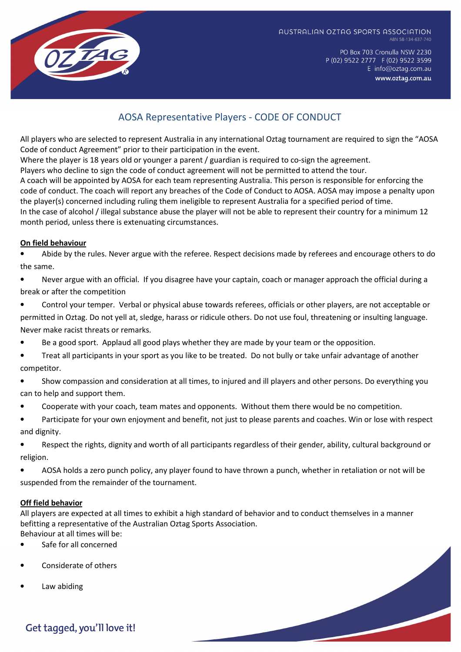

AUSTRALIAN OZTAG SPORTS ASSOCIATION ABN 58-134-637-740

> PO Box 703 Cronulla NSW 2230 P (02) 9522 2777 F (02) 9522 3599 E info@oztag.com.au www.oztag.com.au

# AOSA Representative Players - CODE OF CONDUCT

All players who are selected to represent Australia in any international Oztag tournament are required to sign the "AOSA Code of conduct Agreement" prior to their participation in the event.

Where the player is 18 years old or younger a parent / guardian is required to co-sign the agreement.

Players who decline to sign the code of conduct agreement will not be permitted to attend the tour.

A coach will be appointed by AOSA for each team representing Australia. This person is responsible for enforcing the code of conduct. The coach will report any breaches of the Code of Conduct to AOSA. AOSA may impose a penalty upon the player(s) concerned including ruling them ineligible to represent Australia for a specified period of time. In the case of alcohol / illegal substance abuse the player will not be able to represent their country for a minimum 12 month period, unless there is extenuating circumstances.

# On field behaviour

• Abide by the rules. Never argue with the referee. Respect decisions made by referees and encourage others to do the same.

- Never argue with an official. If you disagree have your captain, coach or manager approach the official during a break or after the competition
- Control your temper. Verbal or physical abuse towards referees, officials or other players, are not acceptable or permitted in Oztag. Do not yell at, sledge, harass or ridicule others. Do not use foul, threatening or insulting language. Never make racist threats or remarks.
- Be a good sport. Applaud all good plays whether they are made by your team or the opposition.
- Treat all participants in your sport as you like to be treated. Do not bully or take unfair advantage of another competitor.
- Show compassion and consideration at all times, to injured and ill players and other persons. Do everything you can to help and support them.
- Cooperate with your coach, team mates and opponents. Without them there would be no competition.
- Participate for your own enjoyment and benefit, not just to please parents and coaches. Win or lose with respect and dignity.

• Respect the rights, dignity and worth of all participants regardless of their gender, ability, cultural background or religion.

• AOSA holds a zero punch policy, any player found to have thrown a punch, whether in retaliation or not will be suspended from the remainder of the tournament.

## Off field behavior

All players are expected at all times to exhibit a high standard of behavior and to conduct themselves in a manner befitting a representative of the Australian Oztag Sports Association. Behaviour at all times will be:

- Safe for all concerned
- Considerate of others
- Law abiding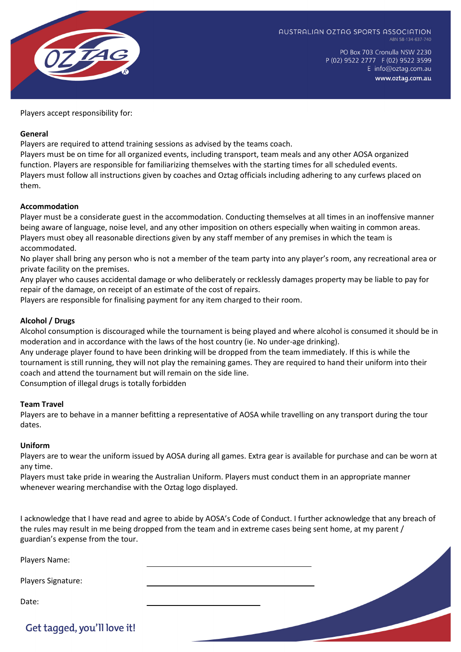

PO Box 703 Cronulla NSW 2230 P (02) 9522 2777 F (02) 9522 3599 E info@oztag.com.au www.oztag.com.au

Players accept responsibility for:

### General

Players are required to attend training sessions as advised by the teams coach.

Players must be on time for all organized events, including transport, team meals and any other AOSA organized function. Players are responsible for familiarizing themselves with the starting times for all scheduled events. Players must follow all instructions given by coaches and Oztag officials including adhering to any curfews placed on them.

#### Accommodation

Player must be a considerate guest in the accommodation. Conducting themselves at all times in an inoffensive manner being aware of language, noise level, and any other imposition on others especially when waiting in common areas. Players must obey all reasonable directions given by any staff member of any premises in which the team is accommodated.

No player shall bring any person who is not a member of the team party into any player's room, any recreational area or private facility on the premises.

Any player who causes accidental damage or who deliberately or recklessly damages property may be liable to pay for repair of the damage, on receipt of an estimate of the cost of repairs.

Players are responsible for finalising payment for any item charged to their room.

## Alcohol / Drugs

Alcohol consumption is discouraged while the tournament is being played and where alcohol is consumed it should be in moderation and in accordance with the laws of the host country (ie. No under-age drinking).

Any underage player found to have been drinking will be dropped from the team immediately. If this is while the tournament is still running, they will not play the remaining games. They are required to hand their uniform into their coach and attend the tournament but will remain on the side line.

Consumption of illegal drugs is totally forbidden

#### Team Travel

Players are to behave in a manner befitting a representative of AOSA while travelling on any transport during the tour dates.

#### Uniform

Players are to wear the uniform issued by AOSA during all games. Extra gear is available for purchase and can be worn at any time.

Players must take pride in wearing the Australian Uniform. Players must conduct them in an appropriate manner whenever wearing merchandise with the Oztag logo displayed.

I acknowledge that I have read and agree to abide by AOSA's Code of Conduct. I further acknowledge that any breach of the rules may result in me being dropped from the team and in extreme cases being sent home, at my parent / guardian's expense from the tour.

Players Name: Players Signature: Date: Get tagged, you'll love it!